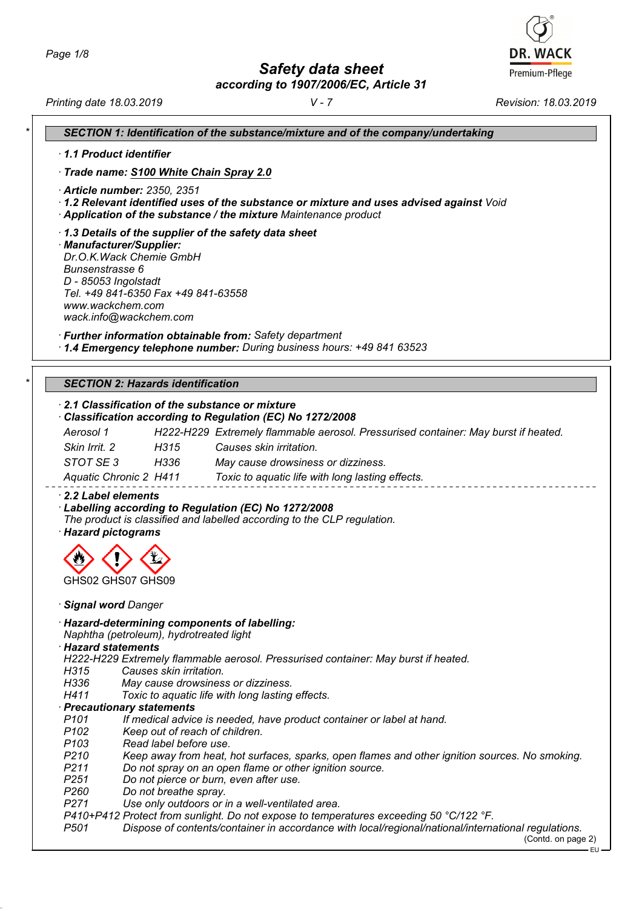*Safety data sheet*

*according to 1907/2006/EC, Article 31*

**DR. WACK** Premium-Pflege

*Printing date 18.03.2019 V - 7 Revision: 18.03.2019*

| SECTION 1: Identification of the substance/mixture and of the company/undertaking                                                                                                                                                            |
|----------------------------------------------------------------------------------------------------------------------------------------------------------------------------------------------------------------------------------------------|
| 1.1 Product identifier                                                                                                                                                                                                                       |
| Trade name: S100 White Chain Spray 2.0                                                                                                                                                                                                       |
|                                                                                                                                                                                                                                              |
| · Article number: 2350, 2351<br>· 1.2 Relevant identified uses of the substance or mixture and uses advised against Void<br>Application of the substance / the mixture Maintenance product                                                   |
| 1.3 Details of the supplier of the safety data sheet<br>· Manufacturer/Supplier:<br>Dr.O.K. Wack Chemie GmbH<br>Bunsenstrasse 6<br>D - 85053 Ingolstadt<br>Tel. +49 841-6350 Fax +49 841-63558<br>www.wackchem.com<br>wack.info@wackchem.com |
| · Further information obtainable from: Safety department<br>1.4 Emergency telephone number: During business hours: +49 841 63523                                                                                                             |
| <b>SECTION 2: Hazards identification</b>                                                                                                                                                                                                     |
| 2.1 Classification of the substance or mixture                                                                                                                                                                                               |
| Classification according to Regulation (EC) No 1272/2008                                                                                                                                                                                     |
| Aerosol 1<br>H222-H229 Extremely flammable aerosol. Pressurised container: May burst if heated.                                                                                                                                              |
| Skin Irrit. 2<br>H <sub>315</sub><br>Causes skin irritation.                                                                                                                                                                                 |
| STOT SE 3 H336<br>May cause drowsiness or dizziness.                                                                                                                                                                                         |
|                                                                                                                                                                                                                                              |
| Aquatic Chronic 2 H411<br>Toxic to aquatic life with long lasting effects.                                                                                                                                                                   |
| 2.2 Label elements<br>· Labelling according to Regulation (EC) No 1272/2008<br>The product is classified and labelled according to the CLP regulation.<br>· Hazard pictograms                                                                |
| GHS02 GHS07 GHS09                                                                                                                                                                                                                            |
|                                                                                                                                                                                                                                              |
| Signal word Danger                                                                                                                                                                                                                           |
| · Hazard-determining components of labelling:<br>Naphtha (petroleum), hydrotreated light<br>· Hazard statements                                                                                                                              |
| H222-H229 Extremely flammable aerosol. Pressurised container: May burst if heated.                                                                                                                                                           |
| H315<br>Causes skin irritation.                                                                                                                                                                                                              |
| H336<br>May cause drowsiness or dizziness.                                                                                                                                                                                                   |
| H411<br>Toxic to aquatic life with long lasting effects.                                                                                                                                                                                     |
| · Precautionary statements<br>P <sub>101</sub><br>If medical advice is needed, have product container or label at hand.                                                                                                                      |
| P <sub>102</sub><br>Keep out of reach of children.                                                                                                                                                                                           |
| P <sub>103</sub><br>Read label before use.                                                                                                                                                                                                   |
| P <sub>210</sub><br>Keep away from heat, hot surfaces, sparks, open flames and other ignition sources. No smoking.                                                                                                                           |
| P211<br>Do not spray on an open flame or other ignition source.                                                                                                                                                                              |
| P <sub>251</sub><br>Do not pierce or burn, even after use.                                                                                                                                                                                   |
| P <sub>260</sub><br>Do not breathe spray.                                                                                                                                                                                                    |
| P271<br>Use only outdoors or in a well-ventilated area.                                                                                                                                                                                      |
| P410+P412 Protect from sunlight. Do not expose to temperatures exceeding 50 °C/122 °F.                                                                                                                                                       |
| P <sub>501</sub><br>Dispose of contents/container in accordance with local/regional/national/international regulations.<br>(Contd. on page 2)<br>EU-                                                                                         |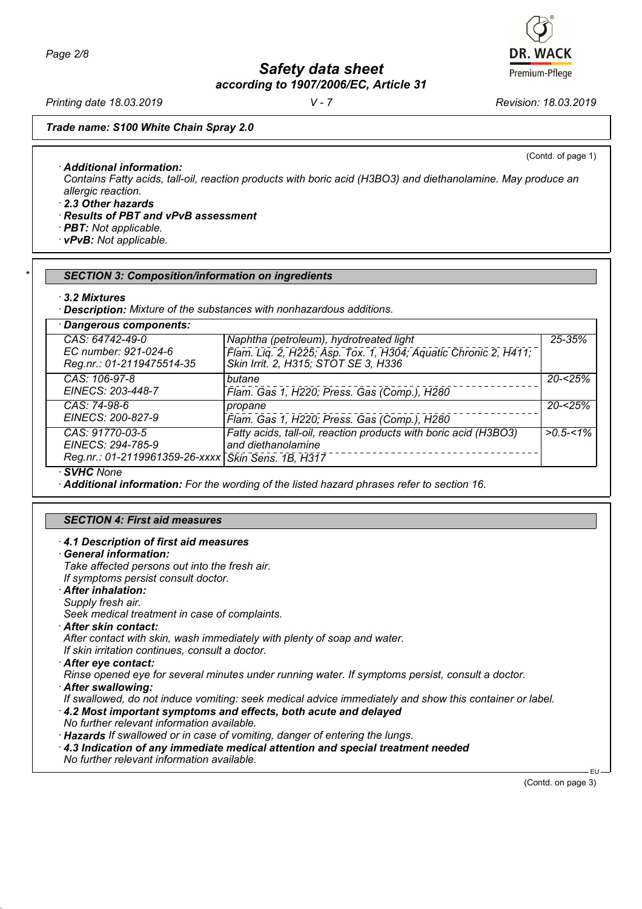*Safety data sheet*

*according to 1907/2006/EC, Article 31*

*Printing date 18.03.2019 V - 7 Revision: 18.03.2019*

(Contd. of page 1)

## *Trade name: S100 White Chain Spray 2.0*

*· Additional information:*

*Contains Fatty acids, tall-oil, reaction products with boric acid (H3BO3) and diethanolamine. May produce an allergic reaction.*

*· 2.3 Other hazards*

- *· Results of PBT and vPvB assessment*
- *· PBT: Not applicable.*
- *· vPvB: Not applicable.*

# *\* SECTION 3: Composition/information on ingredients*

#### *· 3.2 Mixtures*

*· Description: Mixture of the substances with nonhazardous additions.*

| Dangerous components:                                                                      |                                                                                                                                                    |              |
|--------------------------------------------------------------------------------------------|----------------------------------------------------------------------------------------------------------------------------------------------------|--------------|
| CAS: 64742-49-0<br>EC number: 921-024-6<br>Reg.nr.: 01-2119475514-35                       | Naphtha (petroleum), hydrotreated light<br>Flam. Liq. 2, H225; Asp. Tox. 1, H304; Aquatic Chronic 2, H411;<br>Skin Irrit. 2, H315; STOT SE 3, H336 | 25-35%       |
| CAS: 106-97-8<br>EINECS: 203-448-7                                                         | butane<br>Flam. Gas 1, H220; Press. Gas (Comp.), H280                                                                                              | $20 - 25%$   |
| CAS: 74-98-6<br>EINECS: 200-827-9                                                          | propane<br>Flam. Gas 1, H220; Press. Gas (Comp.), H280                                                                                             | $20 - 25%$   |
| CAS: 91770-03-5<br>EINECS: 294-785-9<br>Reg.nr.: 01-2119961359-26-xxxx Skin Sens. 1B, H317 | Fatty acids, tall-oil, reaction products with boric acid (H3BO3)<br>and diethanolamine                                                             | $>0.5 - 1\%$ |

*· SVHC None*

*· Additional information: For the wording of the listed hazard phrases refer to section 16.*

# *SECTION 4: First aid measures*

#### *· 4.1 Description of first aid measures*

- *· General information: Take affected persons out into the fresh air.*
- *If symptoms persist consult doctor.*
- *· After inhalation:*
- *Supply fresh air.*
- *Seek medical treatment in case of complaints.*
- *· After skin contact:*

*After contact with skin, wash immediately with plenty of soap and water.*

*If skin irritation continues, consult a doctor.*

*· After eye contact:*

*Rinse opened eye for several minutes under running water. If symptoms persist, consult a doctor.*

*· After swallowing:*

*If swallowed, do not induce vomiting: seek medical advice immediately and show this container or label.*

- *· 4.2 Most important symptoms and effects, both acute and delayed*
- *No further relevant information available.*
- *· Hazards If swallowed or in case of vomiting, danger of entering the lungs.*
- *· 4.3 Indication of any immediate medical attention and special treatment needed*
- *No further relevant information available.*

(Contd. on page 3)

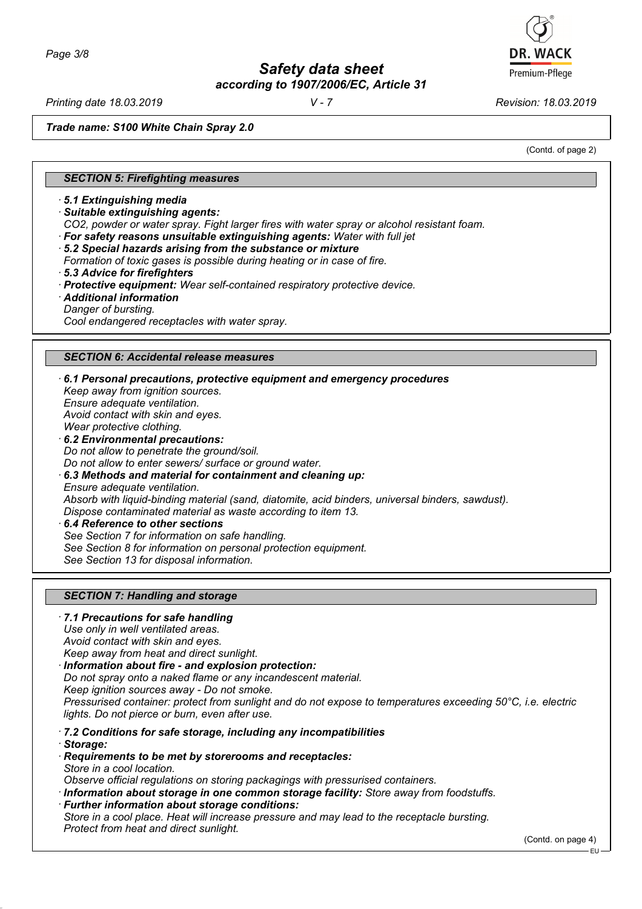*Printing date 18.03.2019 V - 7 Revision: 18.03.2019*

*Trade name: S100 White Chain Spray 2.0*

(Contd. of page 2)

#### *SECTION 5: Firefighting measures*

*· 5.1 Extinguishing media*

- *· Suitable extinguishing agents:*
- *CO2, powder or water spray. Fight larger fires with water spray or alcohol resistant foam.*
- *· For safety reasons unsuitable extinguishing agents: Water with full jet*
- *· 5.2 Special hazards arising from the substance or mixture*
- *Formation of toxic gases is possible during heating or in case of fire.*
- *· 5.3 Advice for firefighters*
- *· Protective equipment: Wear self-contained respiratory protective device.*
- *· Additional information*
- *Danger of bursting.*

*Cool endangered receptacles with water spray.*

#### *SECTION 6: Accidental release measures*

*· 6.1 Personal precautions, protective equipment and emergency procedures Keep away from ignition sources. Ensure adequate ventilation. Avoid contact with skin and eyes. Wear protective clothing. · 6.2 Environmental precautions: Do not allow to penetrate the ground/soil. Do not allow to enter sewers/ surface or ground water. · 6.3 Methods and material for containment and cleaning up: Ensure adequate ventilation. Absorb with liquid-binding material (sand, diatomite, acid binders, universal binders, sawdust). Dispose contaminated material as waste according to item 13. · 6.4 Reference to other sections*

*See Section 7 for information on safe handling. See Section 8 for information on personal protection equipment. See Section 13 for disposal information.*

#### *SECTION 7: Handling and storage*

## *· 7.1 Precautions for safe handling Use only in well ventilated areas. Avoid contact with skin and eyes. Keep away from heat and direct sunlight. · Information about fire - and explosion protection: Do not spray onto a naked flame or any incandescent material.*

*Keep ignition sources away - Do not smoke. Pressurised container: protect from sunlight and do not expose to temperatures exceeding 50°C, i.e. electric lights. Do not pierce or burn, even after use.*

- *· 7.2 Conditions for safe storage, including any incompatibilities*
- *· Storage:*
- *· Requirements to be met by storerooms and receptacles: Store in a cool location.*
- *Observe official regulations on storing packagings with pressurised containers.*
- *· Information about storage in one common storage facility: Store away from foodstuffs.*
- *· Further information about storage conditions:*

*Store in a cool place. Heat will increase pressure and may lead to the receptacle bursting. Protect from heat and direct sunlight.*

(Contd. on page 4)

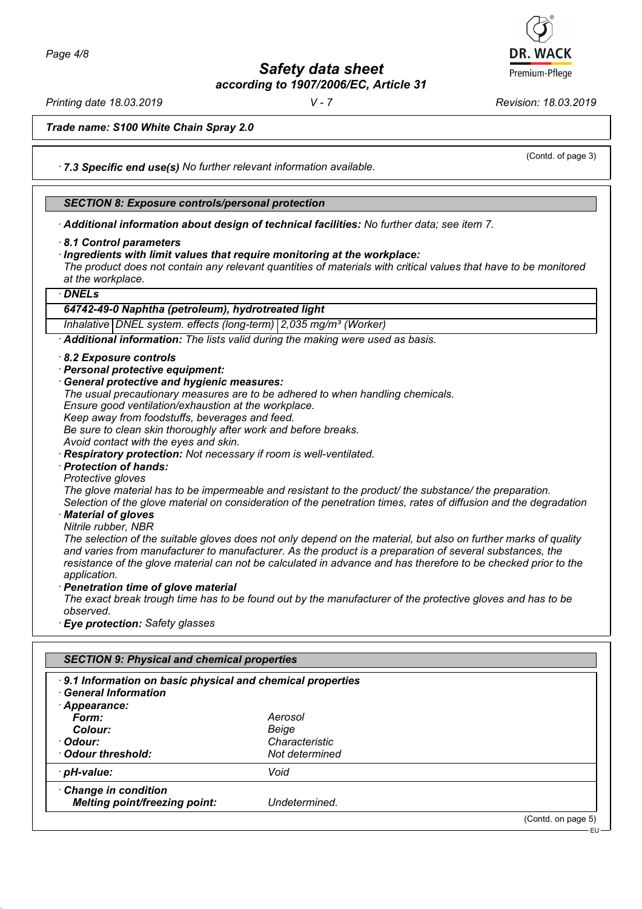*Printing date 18.03.2019 V - 7 Revision: 18.03.2019*

(Contd. of page 3)

*Trade name: S100 White Chain Spray 2.0*

*· 7.3 Specific end use(s) No further relevant information available.*

#### *SECTION 8: Exposure controls/personal protection*

*· Additional information about design of technical facilities: No further data; see item 7.*

- *· 8.1 Control parameters*
- *· Ingredients with limit values that require monitoring at the workplace:*

*The product does not contain any relevant quantities of materials with critical values that have to be monitored at the workplace.*

#### *· DNELs*

# *64742-49-0 Naphtha (petroleum), hydrotreated light*

*Inhalative DNEL system. effects (long-term) 2,035 mg/m³ (Worker)*

*· Additional information: The lists valid during the making were used as basis.*

- *· 8.2 Exposure controls*
- *· Personal protective equipment:*
- *· General protective and hygienic measures:*
- *The usual precautionary measures are to be adhered to when handling chemicals.*

*Ensure good ventilation/exhaustion at the workplace.*

*Keep away from foodstuffs, beverages and feed.*

*Be sure to clean skin thoroughly after work and before breaks.*

- *Avoid contact with the eyes and skin.*
- *· Respiratory protection: Not necessary if room is well-ventilated.*
- *· Protection of hands:*

*Protective gloves The glove material has to be impermeable and resistant to the product/ the substance/ the preparation. Selection of the glove material on consideration of the penetration times, rates of diffusion and the degradation*

- *· Material of gloves*
- *Nitrile rubber, NBR*

*The selection of the suitable gloves does not only depend on the material, but also on further marks of quality and varies from manufacturer to manufacturer. As the product is a preparation of several substances, the resistance of the glove material can not be calculated in advance and has therefore to be checked prior to the application.*

*· Penetration time of glove material*

*The exact break trough time has to be found out by the manufacturer of the protective gloves and has to be observed.*

*· Eye protection: Safety glasses*

| <b>SECTION 9: Physical and chemical properties</b>                                                     |                |                    |
|--------------------------------------------------------------------------------------------------------|----------------|--------------------|
| 9.1 Information on basic physical and chemical properties<br><b>General Information</b><br>Appearance: |                |                    |
| Form:                                                                                                  | Aerosol        |                    |
| Colour:                                                                                                | Beige          |                    |
| · Odour:                                                                                               | Characteristic |                    |
| Odour threshold:                                                                                       | Not determined |                    |
| · pH-value:                                                                                            | Void           |                    |
| Change in condition                                                                                    |                |                    |
| <b>Melting point/freezing point:</b>                                                                   | Undetermined.  |                    |
|                                                                                                        |                | (Contd. on page 5) |
|                                                                                                        |                | - EU –             |

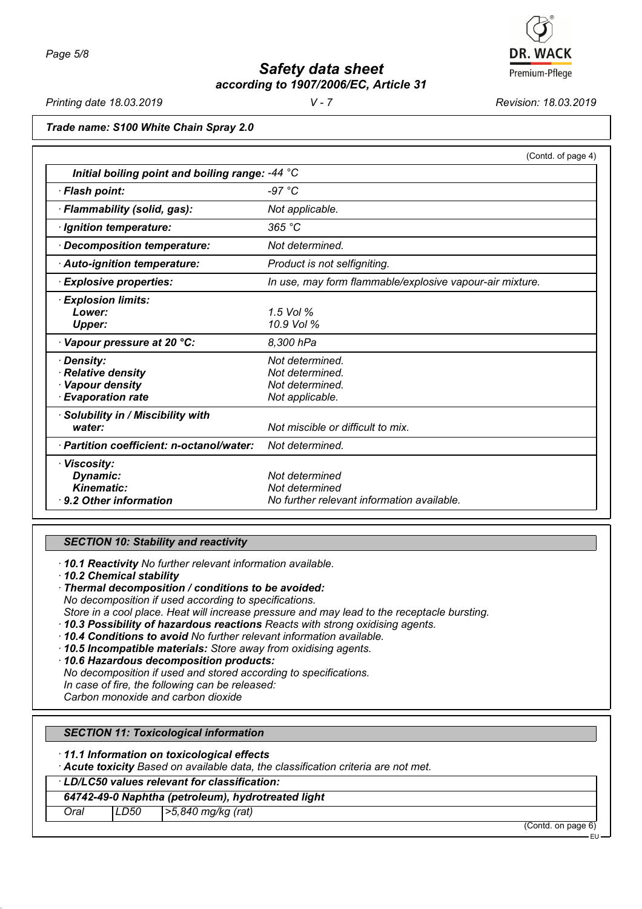

*Printing date 18.03.2019 V - 7 Revision: 18.03.2019*

*Trade name: S100 White Chain Spray 2.0*

| Initial boiling point and boiling range: -44 °C | (Contd. of page 4)                                       |
|-------------------------------------------------|----------------------------------------------------------|
|                                                 |                                                          |
| · Flash point:                                  | -97 $°C$                                                 |
| · Flammability (solid, gas):                    | Not applicable.                                          |
| · Ignition temperature:                         | 365 °C                                                   |
| Decomposition temperature:                      | Not determined.                                          |
| · Auto-ignition temperature:                    | Product is not selfigniting.                             |
| $\cdot$ Explosive properties:                   | In use, may form flammable/explosive vapour-air mixture. |
| <b>Explosion limits:</b>                        |                                                          |
| Lower:                                          | $1.5$ Vol $%$                                            |
| <b>Upper:</b>                                   | 10.9 Vol %                                               |
| Vapour pressure at 20 °C:                       | 8,300 hPa                                                |
| Density:                                        | Not determined.                                          |
| Relative density                                | Not determined.                                          |
| Vapour density                                  | Not determined.                                          |
| <b>Evaporation rate</b>                         | Not applicable.                                          |
| · Solubility in / Miscibility with              |                                                          |
| water:                                          | Not miscible or difficult to mix.                        |
| · Partition coefficient: n-octanol/water:       | Not determined.                                          |
| · Viscosity:                                    |                                                          |
| Dynamic:                                        | Not determined                                           |
| Kinematic:                                      | Not determined                                           |
| $\cdot$ 9.2 Other information                   | No further relevant information available.               |

# *SECTION 10: Stability and reactivity*

*· 10.1 Reactivity No further relevant information available.*

*· 10.2 Chemical stability*

*· Thermal decomposition / conditions to be avoided: No decomposition if used according to specifications. Store in a cool place. Heat will increase pressure and may lead to the receptacle bursting. · 10.3 Possibility of hazardous reactions Reacts with strong oxidising agents.*

- *· 10.4 Conditions to avoid No further relevant information available.*
- *· 10.5 Incompatible materials: Store away from oxidising agents.*
- *· 10.6 Hazardous decomposition products:*
- *No decomposition if used and stored according to specifications.*

*In case of fire, the following can be released:*

*Carbon monoxide and carbon dioxide*

# *SECTION 11: Toxicological information*

*· 11.1 Information on toxicological effects*

*· Acute toxicity Based on available data, the classification criteria are not met.*

*· LD/LC50 values relevant for classification:*

# *64742-49-0 Naphtha (petroleum), hydrotreated light*

*Oral LD50 >5,840 mg/kg (rat)*

(Contd. on page 6)

EU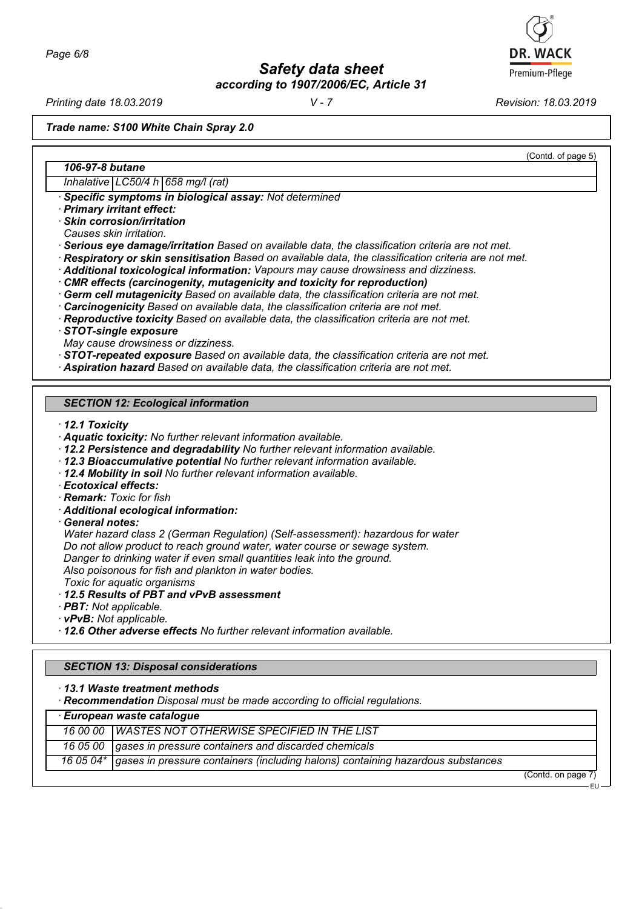*Printing date 18.03.2019 V - 7 Revision: 18.03.2019*

(Contd. of page 5)

*Trade name: S100 White Chain Spray 2.0*

# *106-97-8 butane*

*Inhalative LC50/4 h 658 mg/l (rat)*

*· Specific symptoms in biological assay: Not determined*

*· Primary irritant effect:*

*· Skin corrosion/irritation*

*Causes skin irritation.*

*· Serious eye damage/irritation Based on available data, the classification criteria are not met.*

*· Respiratory or skin sensitisation Based on available data, the classification criteria are not met.*

*· Additional toxicological information: Vapours may cause drowsiness and dizziness.*

*· CMR effects (carcinogenity, mutagenicity and toxicity for reproduction)*

*· Germ cell mutagenicity Based on available data, the classification criteria are not met.*

*· Carcinogenicity Based on available data, the classification criteria are not met.*

*· Reproductive toxicity Based on available data, the classification criteria are not met.*

*· STOT-single exposure*

*May cause drowsiness or dizziness.*

*· STOT-repeated exposure Based on available data, the classification criteria are not met.*

*· Aspiration hazard Based on available data, the classification criteria are not met.*

# *SECTION 12: Ecological information*

*· 12.1 Toxicity*

- *· Aquatic toxicity: No further relevant information available.*
- *· 12.2 Persistence and degradability No further relevant information available.*
- *· 12.3 Bioaccumulative potential No further relevant information available.*
- *· 12.4 Mobility in soil No further relevant information available.*

*· Ecotoxical effects:*

*· Remark: Toxic for fish*

- *· Additional ecological information:*
- *· General notes:*

*Water hazard class 2 (German Regulation) (Self-assessment): hazardous for water Do not allow product to reach ground water, water course or sewage system.*

*Danger to drinking water if even small quantities leak into the ground.*

*Also poisonous for fish and plankton in water bodies.*

*Toxic for aquatic organisms*

*· 12.5 Results of PBT and vPvB assessment*

*· PBT: Not applicable.*

*· vPvB: Not applicable.*

*· 12.6 Other adverse effects No further relevant information available.*

# *SECTION 13: Disposal considerations*

*· 13.1 Waste treatment methods*

*· Recommendation Disposal must be made according to official regulations.*

| European waste catalogue |                                                                                           |  |
|--------------------------|-------------------------------------------------------------------------------------------|--|
|                          | 16 00 00 WASTES NOT OTHERWISE SPECIFIED IN THE LIST                                       |  |
|                          | 16 05 00 gases in pressure containers and discarded chemicals                             |  |
|                          | 16 05 04* gases in pressure containers (including halons) containing hazardous substances |  |

(Contd. on page 7) EU

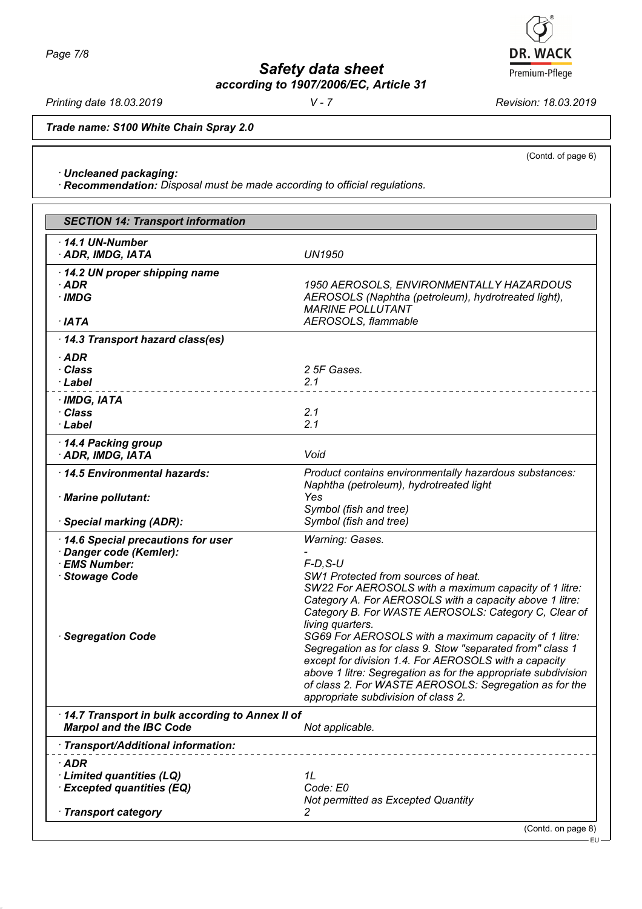*Printing date 18.03.2019 V - 7 Revision: 18.03.2019*

*Trade name: S100 White Chain Spray 2.0*

*· Uncleaned packaging:*

*· Recommendation: Disposal must be made according to official regulations.*

|                                                                                                                       | <b>SECTION 14: Transport information</b>                                                                                                                                                                                                                                                                                                                                                                                                                                                                                                                                                                                        |  |  |
|-----------------------------------------------------------------------------------------------------------------------|---------------------------------------------------------------------------------------------------------------------------------------------------------------------------------------------------------------------------------------------------------------------------------------------------------------------------------------------------------------------------------------------------------------------------------------------------------------------------------------------------------------------------------------------------------------------------------------------------------------------------------|--|--|
| $-14.1$ UN-Number<br>· ADR, IMDG, IATA                                                                                | <b>UN1950</b>                                                                                                                                                                                                                                                                                                                                                                                                                                                                                                                                                                                                                   |  |  |
| 14.2 UN proper shipping name<br>$\cdot$ ADR<br>$\cdot$ IMDG<br>$·$ IATA                                               | 1950 AEROSOLS, ENVIRONMENTALLY HAZARDOUS<br>AEROSOLS (Naphtha (petroleum), hydrotreated light),<br><b>MARINE POLLUTANT</b><br>AEROSOLS, flammable                                                                                                                                                                                                                                                                                                                                                                                                                                                                               |  |  |
| 14.3 Transport hazard class(es)                                                                                       |                                                                                                                                                                                                                                                                                                                                                                                                                                                                                                                                                                                                                                 |  |  |
| $\cdot$ ADR<br>· Class<br>· Label                                                                                     | 2 5F Gases.<br>2.1                                                                                                                                                                                                                                                                                                                                                                                                                                                                                                                                                                                                              |  |  |
| $\cdot$ IMDG, IATA<br>· Class<br>· Label                                                                              | 2.1<br>2.1                                                                                                                                                                                                                                                                                                                                                                                                                                                                                                                                                                                                                      |  |  |
| 14.4 Packing group<br>· ADR, IMDG, IATA                                                                               | Void                                                                                                                                                                                                                                                                                                                                                                                                                                                                                                                                                                                                                            |  |  |
| 14.5 Environmental hazards:                                                                                           | Product contains environmentally hazardous substances:                                                                                                                                                                                                                                                                                                                                                                                                                                                                                                                                                                          |  |  |
| · Marine pollutant:                                                                                                   | Naphtha (petroleum), hydrotreated light<br>Yes<br>Symbol (fish and tree)                                                                                                                                                                                                                                                                                                                                                                                                                                                                                                                                                        |  |  |
| · Special marking (ADR):                                                                                              | Symbol (fish and tree)                                                                                                                                                                                                                                                                                                                                                                                                                                                                                                                                                                                                          |  |  |
| 14.6 Special precautions for user<br>· Danger code (Kemler):<br>· EMS Number:<br>· Stowage Code<br>· Segregation Code | <b>Warning: Gases.</b><br>$F-D$ , $S-U$<br>SW1 Protected from sources of heat.<br>SW22 For AEROSOLS with a maximum capacity of 1 litre:<br>Category A. For AEROSOLS with a capacity above 1 litre:<br>Category B. For WASTE AEROSOLS: Category C, Clear of<br>living quarters.<br>SG69 For AEROSOLS with a maximum capacity of 1 litre:<br>Segregation as for class 9. Stow "separated from" class 1<br>except for division 1.4. For AEROSOLS with a capacity<br>above 1 litre: Segregation as for the appropriate subdivision<br>of class 2. For WASTE AEROSOLS: Segregation as for the<br>appropriate subdivision of class 2. |  |  |
| 14.7 Transport in bulk according to Annex II of<br><b>Marpol and the IBC Code</b>                                     | Not applicable.                                                                                                                                                                                                                                                                                                                                                                                                                                                                                                                                                                                                                 |  |  |
| · Transport/Additional information:                                                                                   |                                                                                                                                                                                                                                                                                                                                                                                                                                                                                                                                                                                                                                 |  |  |
| $\cdot$ ADR<br>· Limited quantities (LQ)<br><b>Excepted quantities (EQ)</b>                                           | 1L<br>Code: E0<br>Not permitted as Excepted Quantity                                                                                                                                                                                                                                                                                                                                                                                                                                                                                                                                                                            |  |  |
| · Transport category                                                                                                  | 2                                                                                                                                                                                                                                                                                                                                                                                                                                                                                                                                                                                                                               |  |  |



(Contd. of page 6)